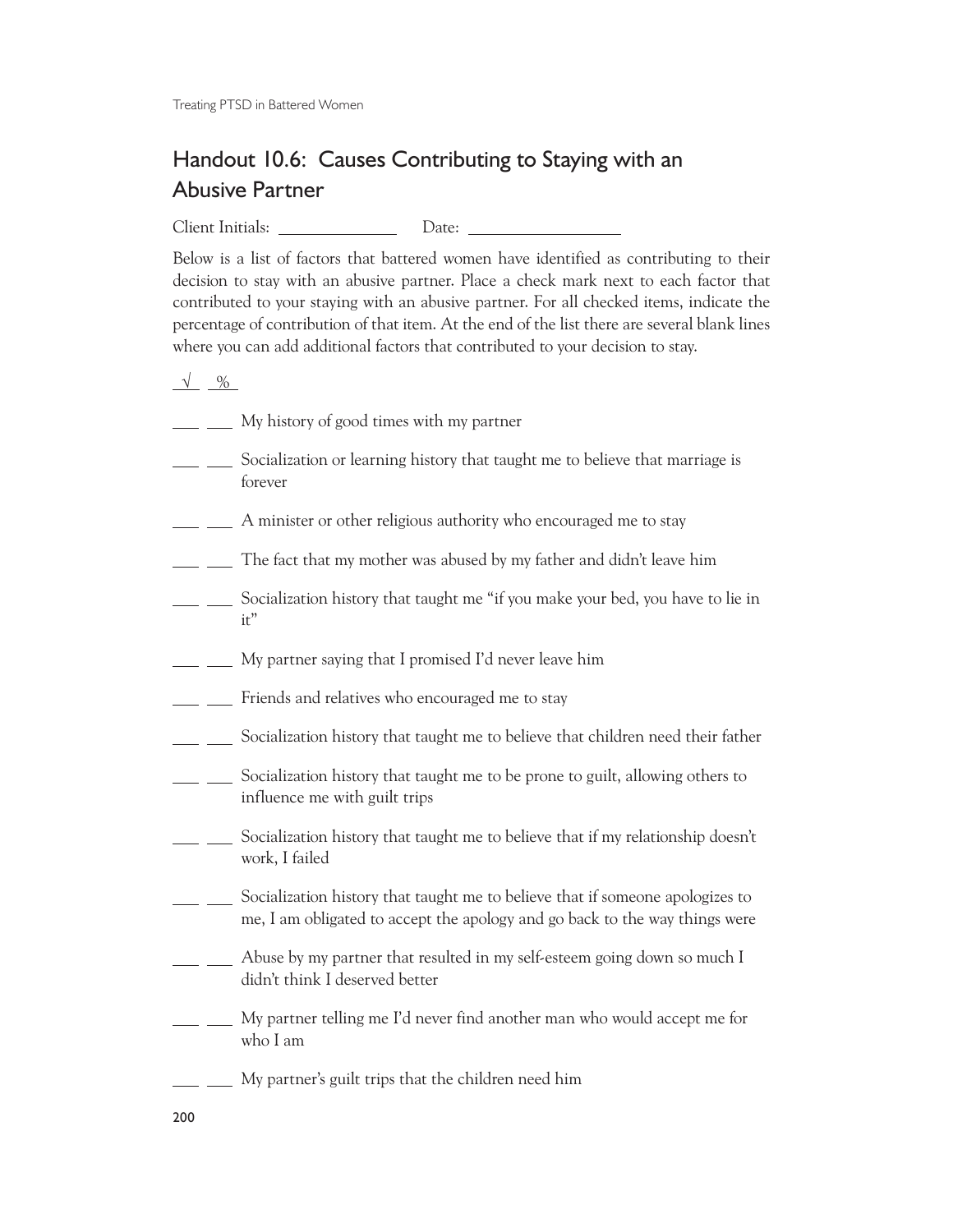Treating PTSD in Battered Women

## Handout 10.6: Causes Contributing to Staying with an Abusive Partner

Client Initials: Date:

Below is a list of factors that battered women have identified as contributing to their decision to stay with an abusive partner. Place a check mark next to each factor that contributed to your staying with an abusive partner. For all checked items, indicate the percentage of contribution of that item. At the end of the list there are several blank lines where you can add additional factors that contributed to your decision to stay.

 $\sqrt{\frac{9}{6}}$ 

- <u>\_\_\_\_</u> \_\_\_\_ My history of good times with my partner
- Socialization or learning history that taught me to believe that marriage is forever
- A minister or other religious authority who encouraged me to stay
- The fact that my mother was abused by my father and didn't leave him
- Socialization history that taught me "if you make your bed, you have to lie in it"
- My partner saying that I promised I'd never leave him
- **Fixture** Friends and relatives who encouraged me to stay
- Socialization history that taught me to believe that children need their father
- Socialization history that taught me to be prone to guilt, allowing others to influence me with guilt trips
- Socialization history that taught me to believe that if my relationship doesn't work, I failed
- Socialization history that taught me to believe that if someone apologizes to me, I am obligated to accept the apology and go back to the way things were
- **Abuse by my partner that resulted in my self-esteem going down so much I** didn't think I deserved better
- <u>\_\_</u> \_\_ My partner telling me I'd never find another man who would accept me for who I am
- <u>\_\_</u> \_\_\_ My partner's guilt trips that the children need him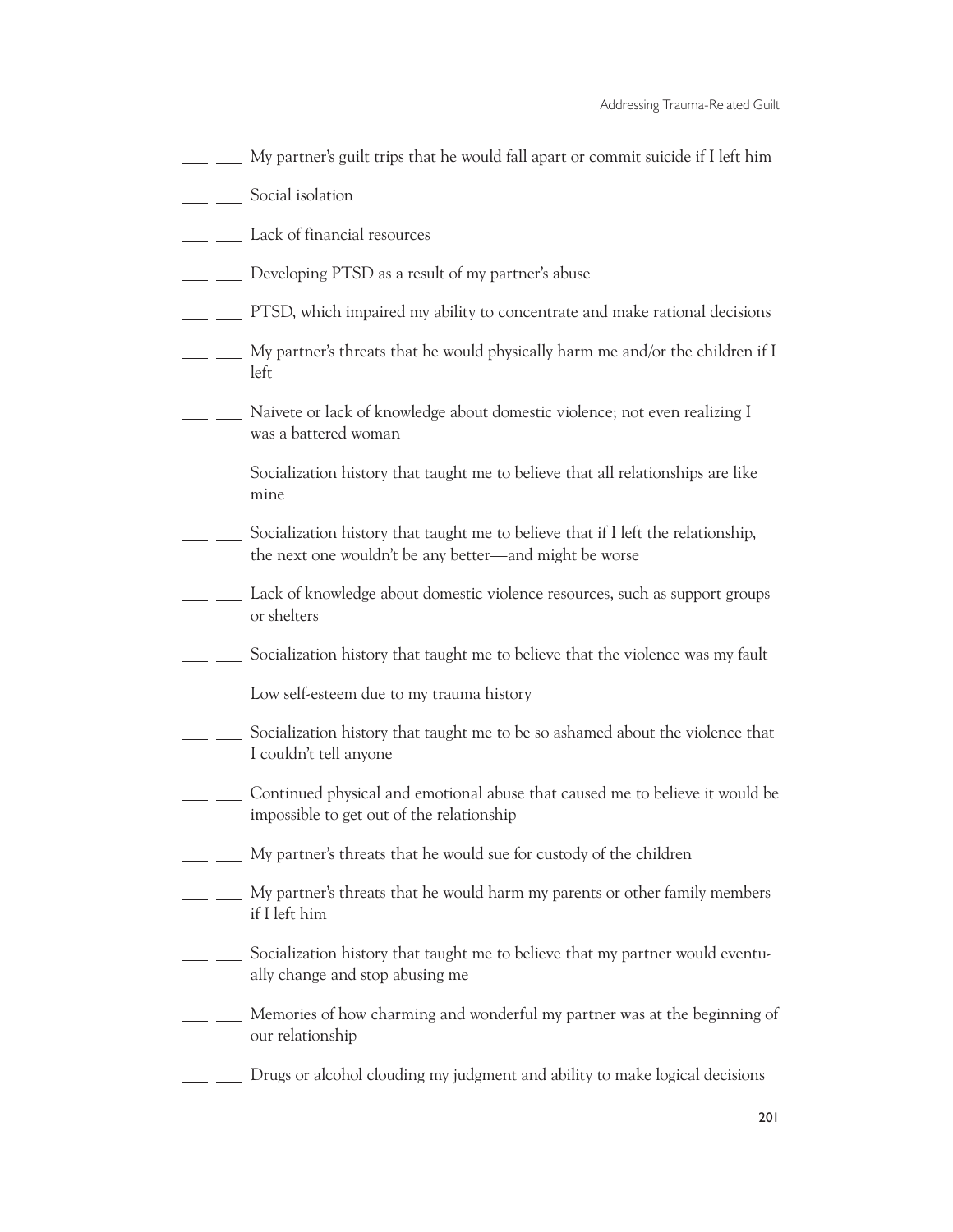- My partner's guilt trips that he would fall apart or commit suicide if I left him
- **Social isolation**
- **Lack of financial resources**
- **Developing PTSD** as a result of my partner's abuse
- **EXECUTES**, which impaired my ability to concentrate and make rational decisions
- $\frac{1}{1}$   $\frac{1}{1}$  My partner's threats that he would physically harm me and/or the children if I left
- **Naivete or lack of knowledge about domestic violence; not even realizing I** was a battered woman
- Socialization history that taught me to believe that all relationships are like mine
- Socialization history that taught me to believe that if I left the relationship, the next one wouldn't be any better—and might be worse
- <sub>\_\_</sub> \_\_\_\_ Lack of knowledge about domestic violence resources, such as support groups or shelters
- Socialization history that taught me to believe that the violence was my fault
- <u>L</u> <u>Low self-esteem</u> due to my trauma history
- Socialization history that taught me to be so ashamed about the violence that I couldn't tell anyone
- \_ \_ \_ Continued physical and emotional abuse that caused me to believe it would be impossible to get out of the relationship
- $\Box$   $\Box$  My partner's threats that he would sue for custody of the children
- <u>Lace</u> My partner's threats that he would harm my parents or other family members if I left him
- Socialization history that taught me to believe that my partner would eventually change and stop abusing me
- \_ \_\_\_ Memories of how charming and wonderful my partner was at the beginning of our relationship
- Drugs or alcohol clouding my judgment and ability to make logical decisions